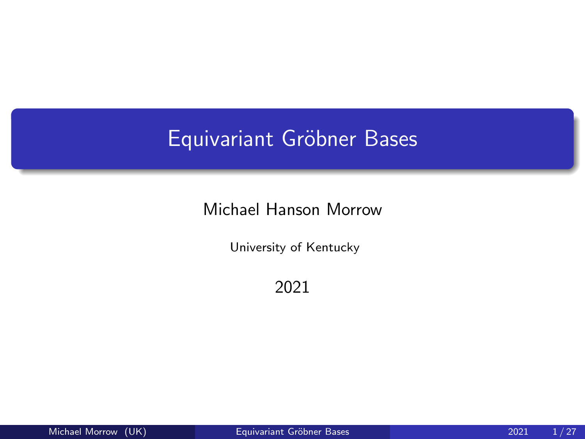# <span id="page-0-0"></span>Equivariant Gröbner Bases

### Michael Hanson Morrow

University of Kentucky

2021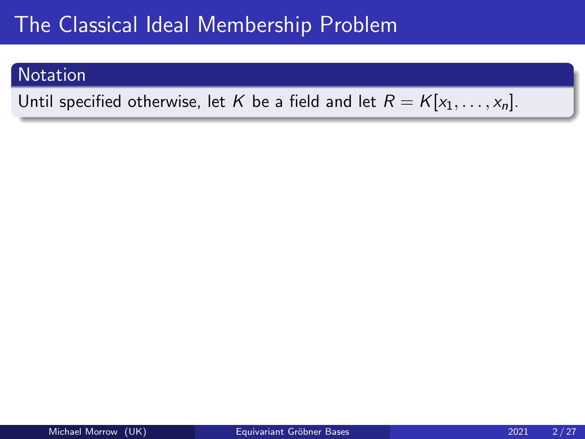### **Notation**

Until specified otherwise, let K be a field and let  $R = K[x_1, \ldots, x_n]$ .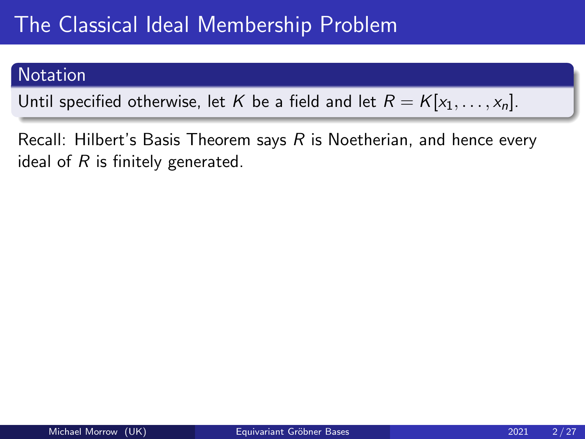### **Notation**

Until specified otherwise, let K be a field and let  $R = K[x_1, \ldots, x_n]$ .

Recall: Hilbert's Basis Theorem says R is Noetherian, and hence every ideal of  $R$  is finitely generated.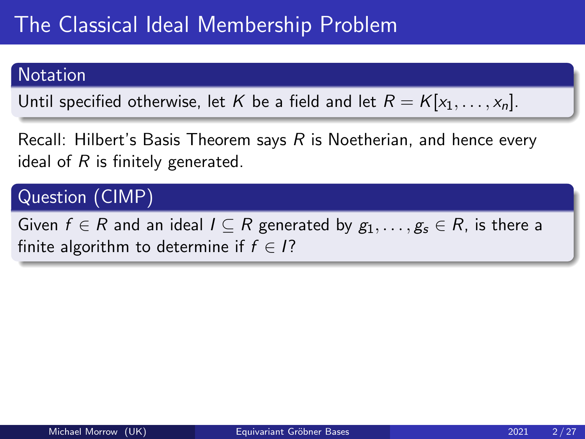### **Notation**

Until specified otherwise, let K be a field and let  $R = K[x_1, \ldots, x_n]$ .

Recall: Hilbert's Basis Theorem says R is Noetherian, and hence every ideal of  $R$  is finitely generated.

## Question (CIMP)

Given  $f \in R$  and an ideal  $I \subseteq R$  generated by  $g_1, \ldots, g_s \in R$ , is there a finite algorithm to determine if  $f \in I$ ?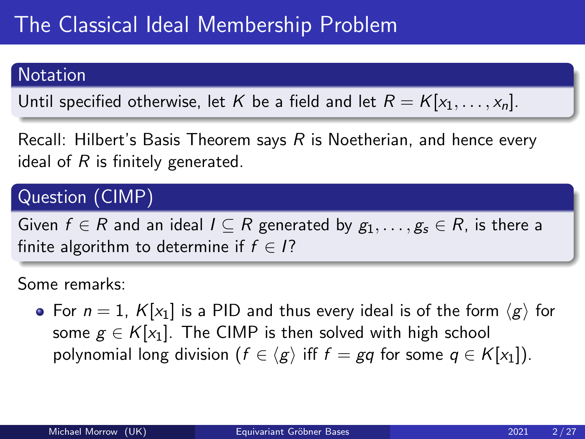### **Notation**

Until specified otherwise, let K be a field and let  $R = K[x_1, \ldots, x_n]$ .

Recall: Hilbert's Basis Theorem says R is Noetherian, and hence every ideal of  $R$  is finitely generated.

# Question (CIMP)

Given  $f \in R$  and an ideal  $I \subseteq R$  generated by  $g_1, \ldots, g_s \in R$ , is there a finite algorithm to determine if  $f \in I$ ?

Some remarks:

• For  $n = 1$ ,  $K[x_1]$  is a PID and thus every ideal is of the form  $\langle g \rangle$  for some  $g \in K[x_1]$ . The CIMP is then solved with high school polynomial long division ( $f \in \langle g \rangle$  iff  $f = gq$  for some  $q \in K[x_1]$ ).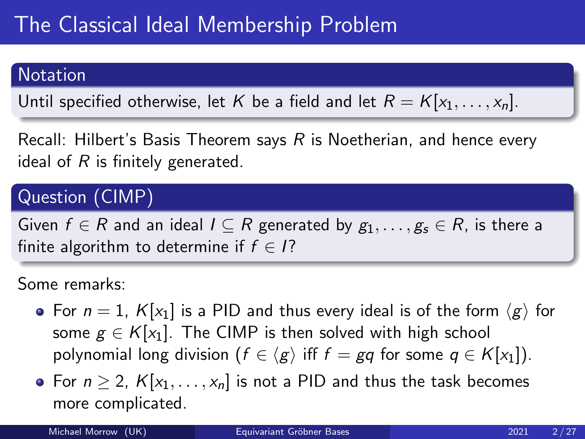### **Notation**

Until specified otherwise, let K be a field and let  $R = K[x_1, \ldots, x_n]$ .

Recall: Hilbert's Basis Theorem says R is Noetherian, and hence every ideal of  $R$  is finitely generated.

# Question (CIMP)

Given  $f \in R$  and an ideal  $I \subseteq R$  generated by  $g_1, \ldots, g_s \in R$ , is there a finite algorithm to determine if  $f \in I$ ?

- For  $n = 1$ ,  $K[x_1]$  is a PID and thus every ideal is of the form  $\langle g \rangle$  for some  $g \in K[x_1]$ . The CIMP is then solved with high school polynomial long division ( $f \in \langle g \rangle$  iff  $f = gq$  for some  $q \in K[x_1]$ ).
- For  $n \geq 2$ ,  $K[x_1, \ldots, x_n]$  is not a PID and thus the task becomes more complicated.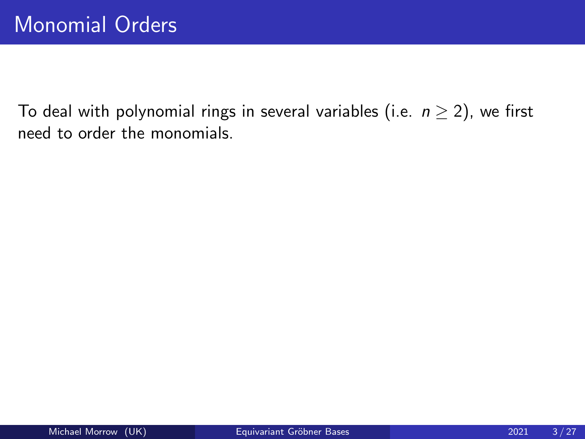To deal with polynomial rings in several variables (i.e.  $n \geq 2$ ), we first need to order the monomials.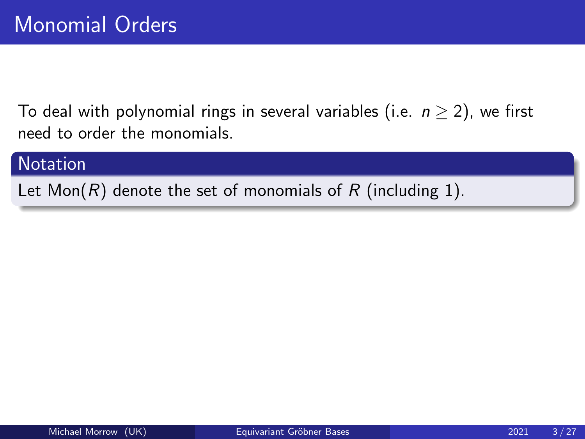To deal with polynomial rings in several variables (i.e.  $n \geq 2$ ), we first need to order the monomials.

#### **Notation**

Let  $Mon(R)$  denote the set of monomials of R (including 1).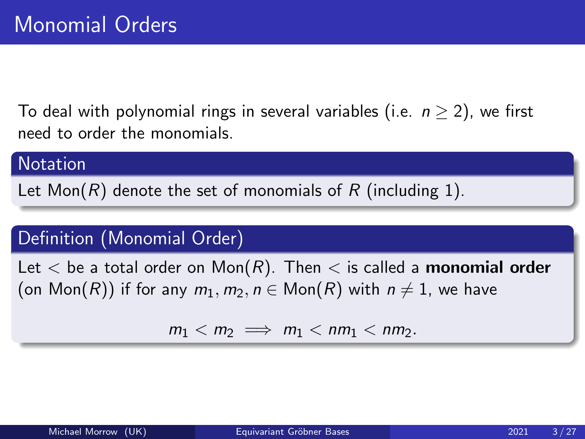To deal with polynomial rings in several variables (i.e.  $n \geq 2$ ), we first need to order the monomials.

#### **Notation**

Let Mon(R) denote the set of monomials of R (including 1).

## Definition (Monomial Order)

Let  $<$  be a total order on Mon $(R)$ . Then  $<$  is called a monomial order (on  $Mon(R)$ ) if for any  $m_1, m_2, n \in Mon(R)$  with  $n \neq 1$ , we have

 $m_1 < m_2 \implies m_1 < nm_1 < nm_2$ .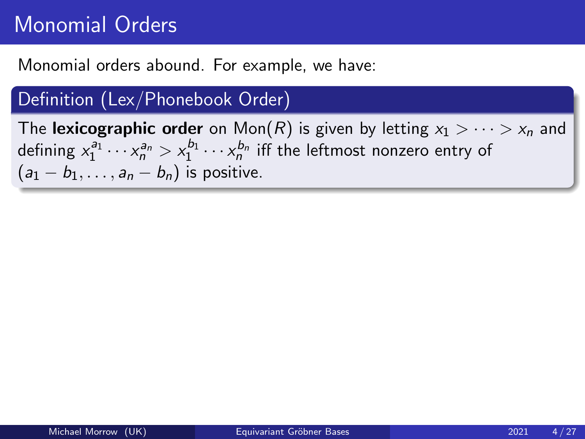# Monomial Orders

Monomial orders abound. For example, we have:

## Definition (Lex/Phonebook Order)

The lexicographic order on Mon(R) is given by letting  $x_1 > \cdots > x_n$  and defining  $x_1^{a_1}\cdots x_n^{a_n} > x_1^{b_1}\cdots x_n^{b_n}$  iff the leftmost nonzero entry of  $(a_1 - b_1, \ldots, a_n - b_n)$  is positive.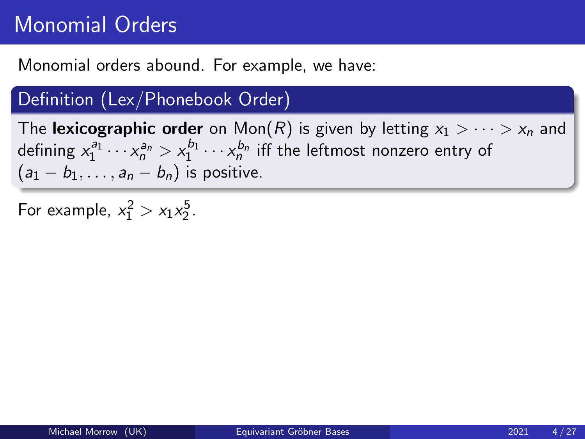# Monomial Orders

Monomial orders abound. For example, we have:

## Definition (Lex/Phonebook Order)

The lexicographic order on Mon(R) is given by letting  $x_1 > \cdots > x_n$  and defining  $x_1^{a_1}\cdots x_n^{a_n} > x_1^{b_1}\cdots x_n^{b_n}$  iff the leftmost nonzero entry of  $(a_1 - b_1, \ldots, a_n - b_n)$  is positive.

For example,  $x_1^2 > x_1 x_2^5$ .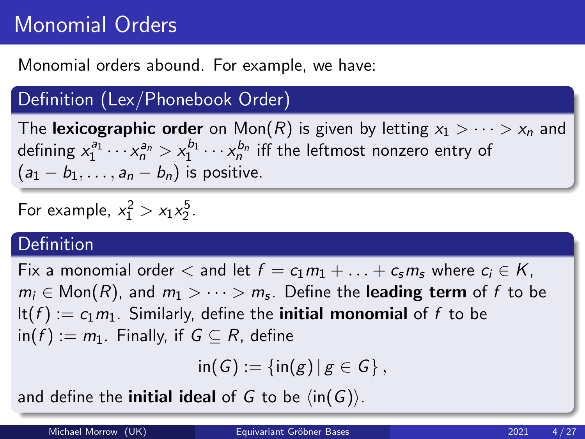# Monomial Orders

Monomial orders abound. For example, we have:

# Definition (Lex/Phonebook Order)

The lexicographic order on Mon(R) is given by letting  $x_1 > \cdots > x_n$  and defining  $x_1^{a_1}\cdots x_n^{a_n} > x_1^{b_1}\cdots x_n^{b_n}$  iff the leftmost nonzero entry of  $(a_1 - b_1, \ldots, a_n - b_n)$  is positive.

For example,  $x_1^2 > x_1 x_2^5$ .

### Definition

Fix a monomial order  $\lt$  and let  $f = c_1m_1 + \ldots + c_sm_s$  where  $c_i \in K$ ,  $m_i\in \mathsf{Mon}(R)$ , and  $m_1>\cdots>m_s.$  Define the **leading term** of  $f$  to be  $lt(f) := c_1 m_1$ . Similarly, define the **initial monomial** of f to be  $\text{in}(f) := m_1$ . Finally, if  $G \subseteq R$ , define

 $\text{in}(G) := \{ \text{in}(g) \, | \, g \in G \}$ ,

and define the **initial ideal** of G to be  $\langle \text{in}(G) \rangle$ .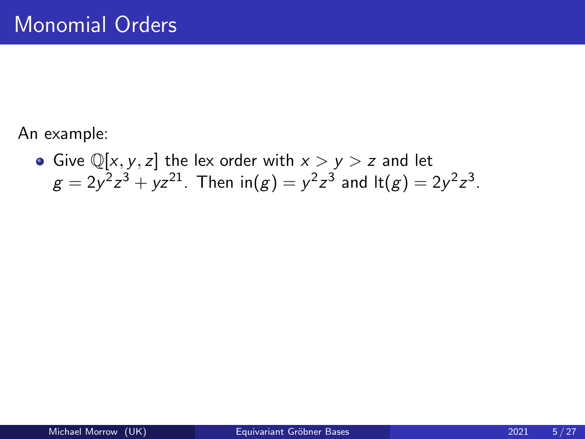An example:

• Give  $\mathbb{Q}[x, y, z]$  the lex order with  $x > y > z$  and let  $g=2y^2z^3+yz^{21}$ . Then  $\mathsf{in}(g)=y^2z^3$  and  $\mathsf{lt}(g)=2y^2z^3$ .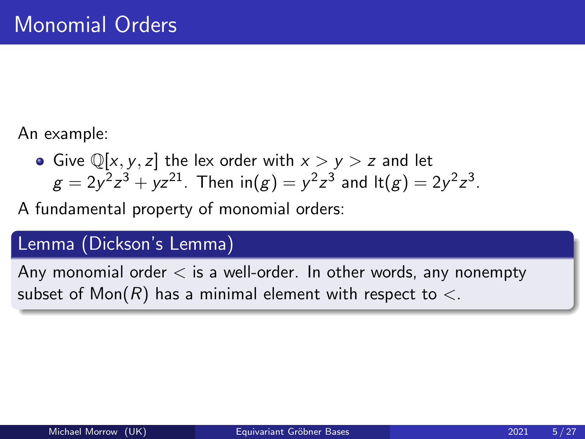An example:

• Give  $\mathbb{Q}[x, y, z]$  the lex order with  $x > y > z$  and let  $g=2y^2z^3+yz^{21}$ . Then  $\mathsf{in}(g)=y^2z^3$  and  $\mathsf{lt}(g)=2y^2z^3$ .

A fundamental property of monomial orders:

## Lemma (Dickson's Lemma)

Any monomial order  $\lt$  is a well-order. In other words, any nonempty subset of Mon(R) has a minimal element with respect to  $\lt$ .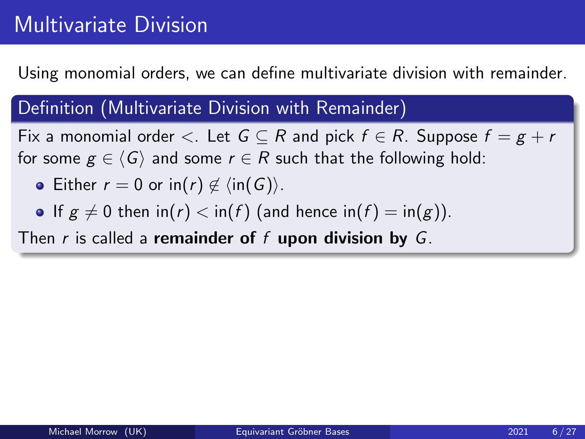# Multivariate Division

Using monomial orders, we can define multivariate division with remainder.

### Definition (Multivariate Division with Remainder)

Fix a monomial order  $\lt$ . Let  $G \subseteq R$  and pick  $f \in R$ . Suppose  $f = g + r$ for some  $g \in \langle G \rangle$  and some  $r \in R$  such that the following hold:

- Either  $r = 0$  or in(r)  $\notin \langle \text{in}(G) \rangle$ .
- If  $g \neq 0$  then  $\text{in}(r) < \text{in}(f)$  (and hence  $\text{in}(f) = \text{in}(g)$ ).

Then r is called a remainder of f upon division by  $G$ .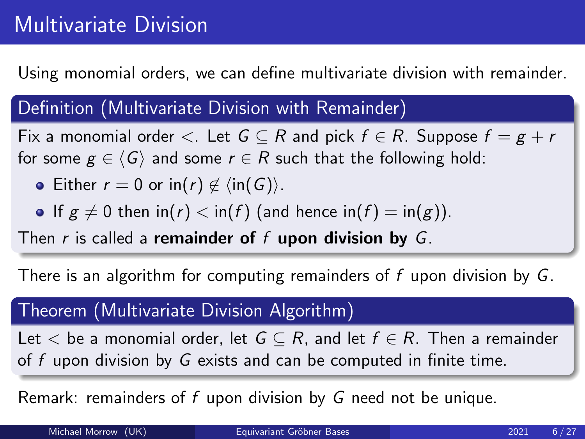# Multivariate Division

Using monomial orders, we can define multivariate division with remainder.

### Definition (Multivariate Division with Remainder)

Fix a monomial order  $\lt$ . Let  $G \subseteq R$  and pick  $f \in R$ . Suppose  $f = g + r$ for some  $g \in \langle G \rangle$  and some  $r \in R$  such that the following hold:

- Either  $r = 0$  or in(r)  $\notin \langle \text{in}(G) \rangle$ .
- If  $g \neq 0$  then  $\text{in}(r) < \text{in}(f)$  (and hence  $\text{in}(f) = \text{in}(g)$ ).

Then r is called a remainder of f upon division by  $G$ .

There is an algorithm for computing remainders of f upon division by  $G$ .

## Theorem (Multivariate Division Algorithm)

Let  $\lt$  be a monomial order, let  $G \subseteq R$ , and let  $f \in R$ . Then a remainder of f upon division by G exists and can be computed in finite time.

Remark: remainders of f upon division by G need not be unique.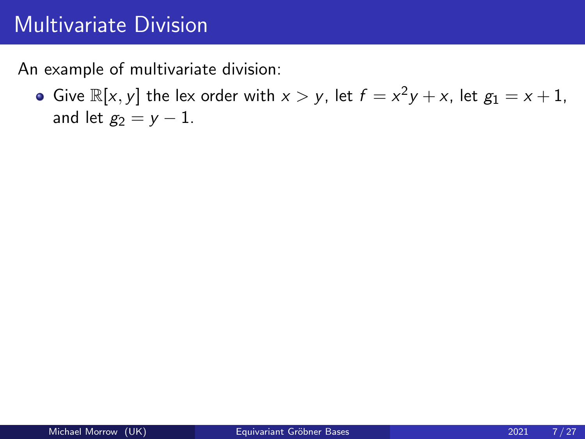# Multivariate Division

An example of multivariate division:

Give  $\mathbb{R}[x, y]$  the lex order with  $x > y$ , let  $f = x^2y + x$ , let  $g_1 = x + 1$ , and let  $g_2 = v - 1$ .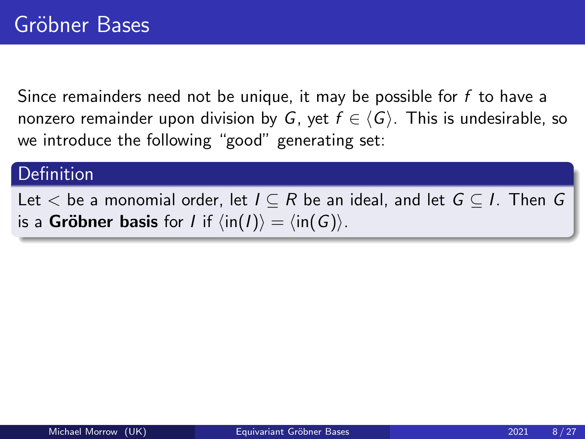Since remainders need not be unique, it may be possible for  $f$  to have a nonzero remainder upon division by G, yet  $f \in \langle G \rangle$ . This is undesirable, so we introduce the following "good" generating set:

## Definition

Let  $\lt$  be a monomial order, let  $I \subseteq R$  be an ideal, and let  $G \subseteq I$ . Then G is a **Gröbner basis** for *I* if  $\langle \text{in}(I) \rangle = \langle \text{in}(G) \rangle$ .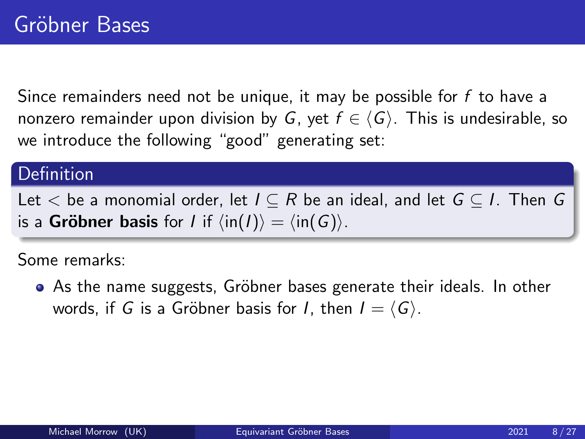Since remainders need not be unique, it may be possible for  $f$  to have a nonzero remainder upon division by G, yet  $f \in \langle G \rangle$ . This is undesirable, so we introduce the following "good" generating set:

## Definition

Let  $\lt$  be a monomial order, let  $I \subseteq R$  be an ideal, and let  $G \subseteq I$ . Then G is a **Gröbner basis** for *I* if  $\langle \text{in}(I) \rangle = \langle \text{in}(G) \rangle$ .

Some remarks:

• As the name suggests, Gröbner bases generate their ideals. In other words, if G is a Gröbner basis for I, then  $I = \langle G \rangle$ .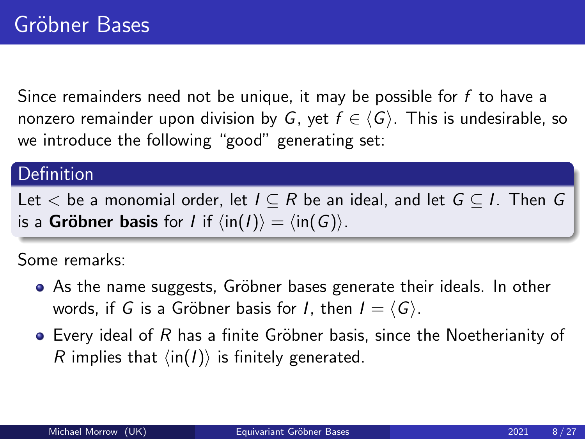Since remainders need not be unique, it may be possible for  $f$  to have a nonzero remainder upon division by G, yet  $f \in \langle G \rangle$ . This is undesirable, so we introduce the following "good" generating set:

## Definition

Let  $\lt$  be a monomial order, let  $I \subseteq R$  be an ideal, and let  $G \subseteq I$ . Then G is a **Gröbner basis** for *I* if  $\langle \text{in}(I) \rangle = \langle \text{in}(G) \rangle$ .

- As the name suggests, Gröbner bases generate their ideals. In other words, if G is a Gröbner basis for I, then  $I = \langle G \rangle$ .
- $\bullet$  Every ideal of R has a finite Gröbner basis, since the Noetherianity of R implies that  $\langle \text{in}(I) \rangle$  is finitely generated.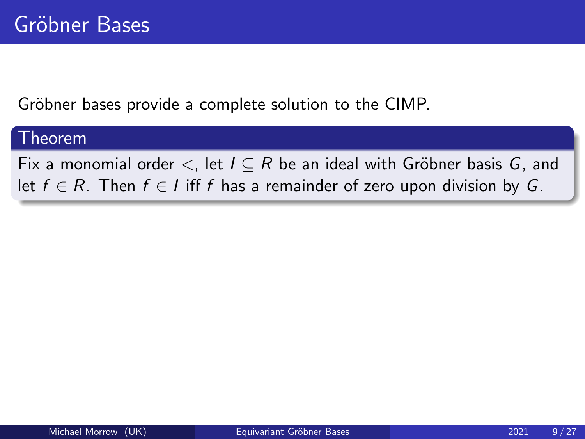Gröbner bases provide a complete solution to the CIMP.

#### Theorem

Fix a monomial order  $\lt$ , let  $I \subseteq R$  be an ideal with Gröbner basis G, and let  $f \in R$ . Then  $f \in I$  iff f has a remainder of zero upon division by G.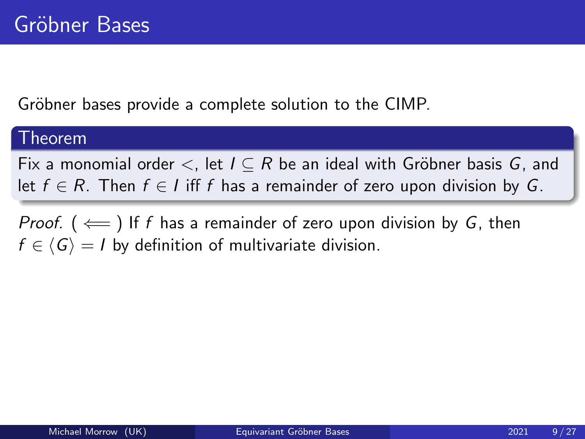Gröbner bases provide a complete solution to the CIMP.

#### Theorem

Fix a monomial order  $\lt$ , let  $I \subseteq R$  be an ideal with Gröbner basis G, and let  $f \in R$ . Then  $f \in I$  iff f has a remainder of zero upon division by G.

*Proof.* ( $\leftarrow$ ) If f has a remainder of zero upon division by G, then  $f \in \langle G \rangle = I$  by definition of multivariate division.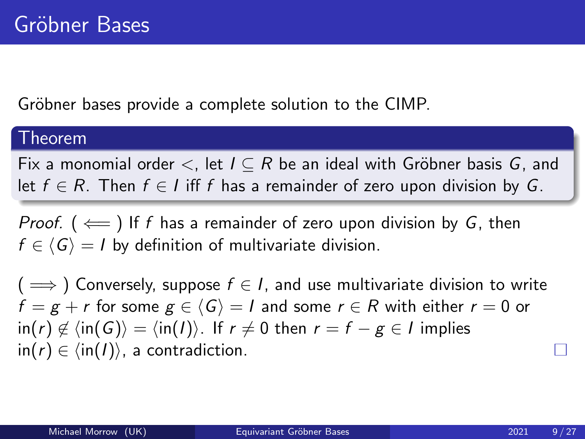Gröbner bases provide a complete solution to the CIMP.

#### Theorem

Fix a monomial order  $\lt$ , let  $I \subseteq R$  be an ideal with Gröbner basis G, and let  $f \in R$ . Then  $f \in I$  iff f has a remainder of zero upon division by G.

*Proof.* ( $\Leftarrow$ ) If f has a remainder of zero upon division by G, then  $f \in \langle G \rangle = I$  by definition of multivariate division.

 $( \implies)$  Conversely, suppose  $f \in I$ , and use multivariate division to write  $f = g + r$  for some  $g \in \langle G \rangle = 1$  and some  $r \in R$  with either  $r = 0$  or  $\sin(r) \notin \langle \sin(G) \rangle = \langle \sin(I) \rangle$ . If  $r \neq 0$  then  $r = f - g \in I$  implies  $\text{in}(r) \in \langle \text{in}(I) \rangle$ , a contradiction.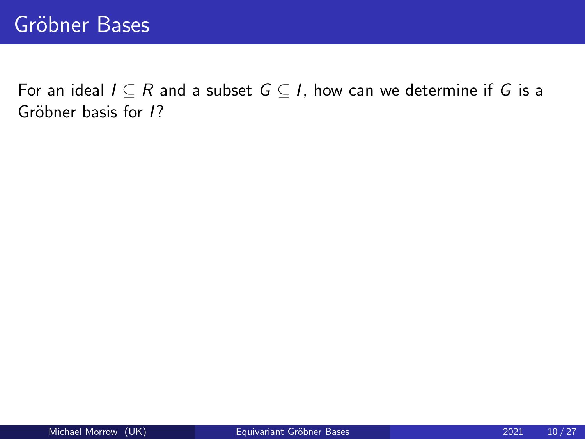For an ideal  $I \subseteq R$  and a subset  $G \subseteq I$ , how can we determine if G is a Gröbner basis for 1?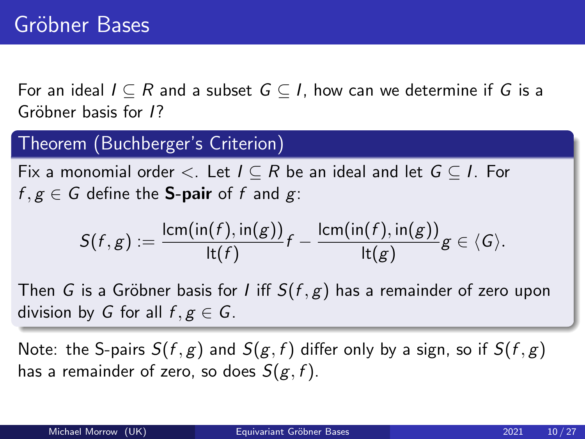For an ideal  $I \subseteq R$  and a subset  $G \subseteq I$ , how can we determine if G is a Gröbner basis for 1?

### Theorem (Buchberger's Criterion)

Fix a monomial order  $\lt$ . Let  $I \subseteq R$  be an ideal and let  $G \subseteq I$ . For  $f, g \in G$  define the **S-pair** of f and g:

$$
S(f,g):=\frac{\mathsf{lcm}(\mathsf{in}(f),\mathsf{in}(g))}{\mathsf{lt}(f)}f-\frac{\mathsf{lcm}(\mathsf{in}(f),\mathsf{in}(g))}{\mathsf{lt}(g)}g\in\langle G\rangle.
$$

Then G is a Gröbner basis for I iff  $S(f, g)$  has a remainder of zero upon division by G for all  $f, g \in G$ .

Note: the S-pairs  $S(f, g)$  and  $S(g, f)$  differ only by a sign, so if  $S(f, g)$ has a remainder of zero, so does  $S(g, f)$ .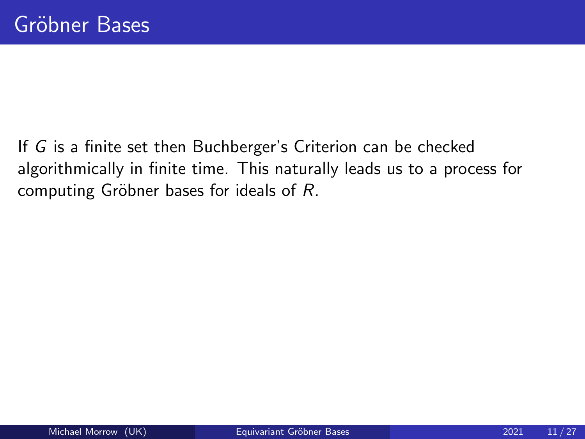If G is a finite set then Buchberger's Criterion can be checked algorithmically in finite time. This naturally leads us to a process for computing Gröbner bases for ideals of  $R$ .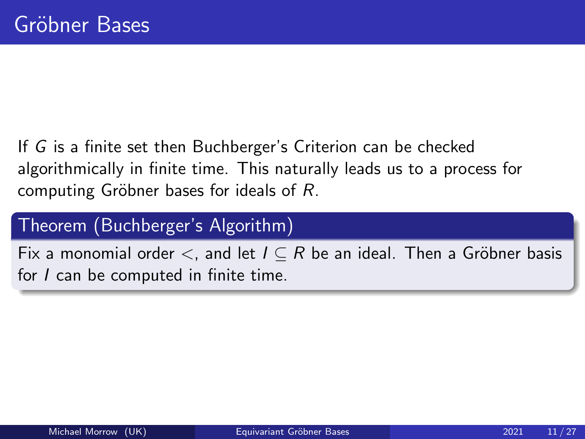If G is a finite set then Buchberger's Criterion can be checked algorithmically in finite time. This naturally leads us to a process for computing Gröbner bases for ideals of  $R$ .

## Theorem (Buchberger's Algorithm)

Fix a monomial order  $\lt$ , and let  $I \subseteq R$  be an ideal. Then a Gröbner basis for *I* can be computed in finite time.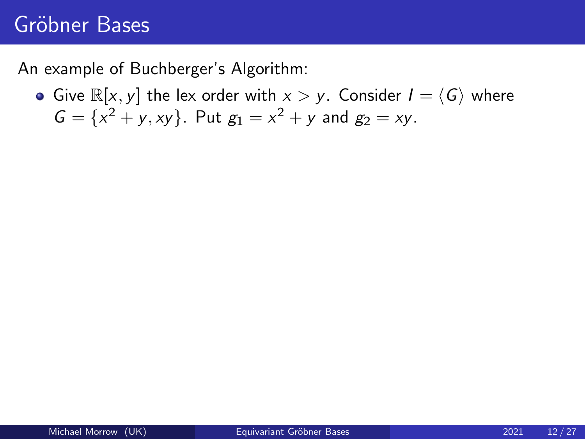# Gröbner Bases

An example of Buchberger's Algorithm:

Give  $\mathbb{R}[x, y]$  the lex order with  $x > y$ . Consider  $I = \langle G \rangle$  where  $G = \{x^2 + y, xy\}$ . Put  $g_1 = x^2 + y$  and  $g_2 = xy$ .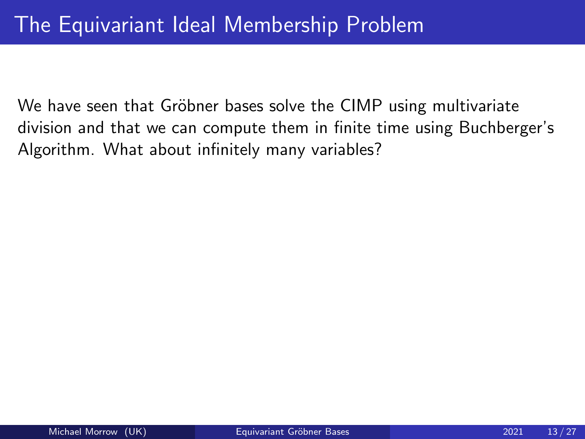We have seen that Gröbner bases solve the CIMP using multivariate division and that we can compute them in finite time using Buchberger's Algorithm. What about infinitely many variables?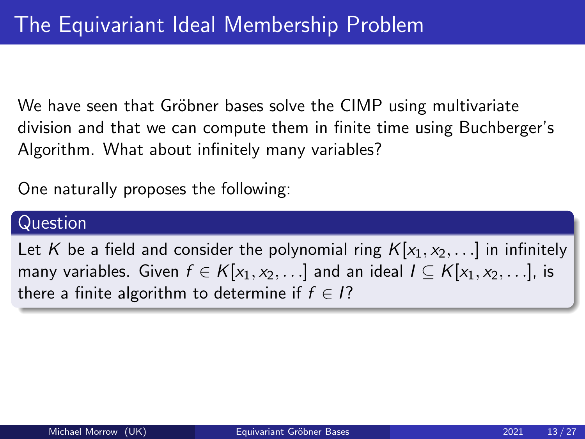We have seen that Gröbner bases solve the CIMP using multivariate division and that we can compute them in finite time using Buchberger's Algorithm. What about infinitely many variables?

One naturally proposes the following:

#### Question

Let K be a field and consider the polynomial ring  $K[x_1, x_2,...]$  in infinitely many variables. Given  $f \in K[x_1, x_2, \ldots]$  and an ideal  $I \subseteq K[x_1, x_2, \ldots]$ , is there a finite algorithm to determine if  $f \in I$ ?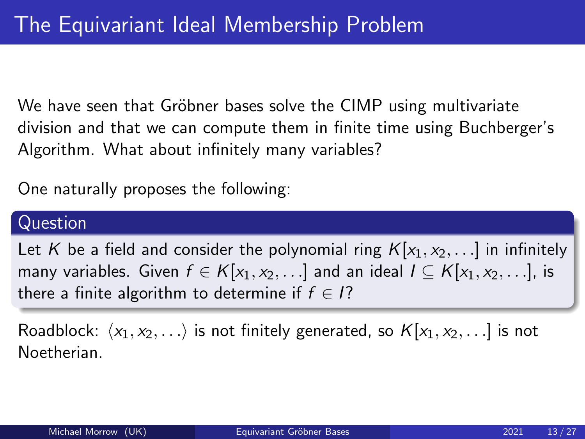We have seen that Gröbner bases solve the CIMP using multivariate division and that we can compute them in finite time using Buchberger's Algorithm. What about infinitely many variables?

One naturally proposes the following:

#### Question

Let K be a field and consider the polynomial ring  $K[x_1, x_2,...]$  in infinitely many variables. Given  $f \in K[x_1, x_2, \ldots]$  and an ideal  $I \subseteq K[x_1, x_2, \ldots]$ , is there a finite algorithm to determine if  $f \in I$ ?

Roadblock:  $\langle x_1, x_2, \ldots \rangle$  is not finitely generated, so  $K[x_1, x_2, \ldots]$  is not Noetherian.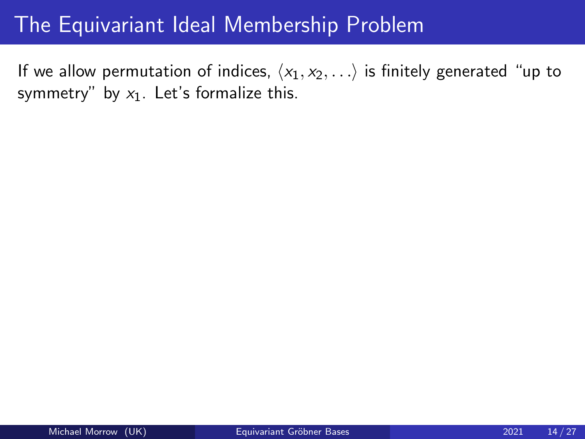If we allow permutation of indices,  $\langle x_1, x_2, \ldots \rangle$  is finitely generated "up to symmetry" by  $x_1$ . Let's formalize this.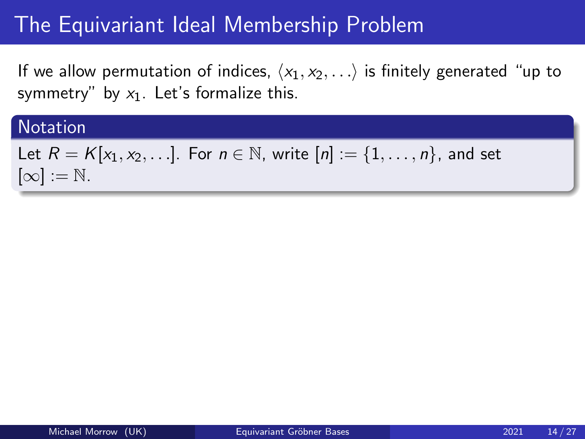If we allow permutation of indices,  $\langle x_1, x_2, \ldots \rangle$  is finitely generated "up to symmetry" by  $x_1$ . Let's formalize this.

#### **Notation**

```
Let R = K[x_1, x_2, \ldots]. For n \in \mathbb{N}, write [n] := \{1, \ldots, n\}, and set
[\infty] := \mathbb{N}.
```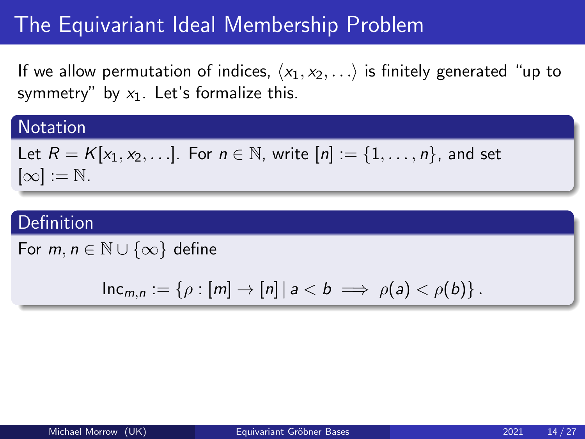If we allow permutation of indices,  $\langle x_1, x_2, \ldots \rangle$  is finitely generated "up to symmetry" by  $x_1$ . Let's formalize this.

### **Notation**

Let 
$$
R = K[x_1, x_2, \ldots]
$$
. For  $n \in \mathbb{N}$ , write  $[n] := \{1, \ldots, n\}$ , and set  $[\infty] := \mathbb{N}$ .

### Definition

For  $m, n \in \mathbb{N} \cup \{\infty\}$  define

$$
\mathsf{Inc}_{m,n}:=\left\{\rho:[m]\to[n]\,|\,a
$$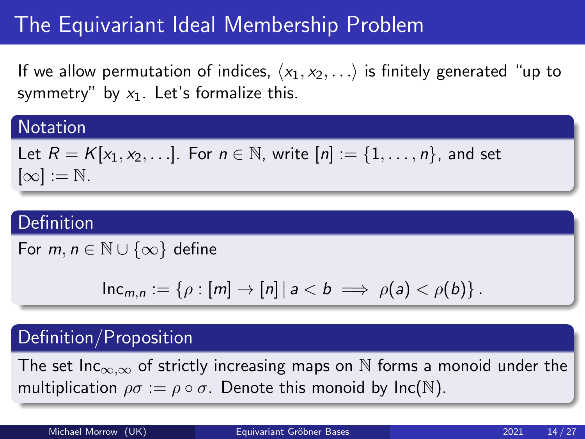If we allow permutation of indices,  $\langle x_1, x_2, \ldots \rangle$  is finitely generated "up to symmetry" by  $x_1$ . Let's formalize this.

#### **Notation**

Let 
$$
R = K[x_1, x_2, \ldots]
$$
. For  $n \in \mathbb{N}$ , write  $[n] := \{1, \ldots, n\}$ , and set  $[\infty] := \mathbb{N}$ .

### Definition

For  $m, n \in \mathbb{N} \cup \{\infty\}$  define

$$
\mathsf{Inc}_{m,n}:=\left\{\rho:[m]\to[n]\,|\,a
$$

### Definition/Proposition

The set Inc<sub>∞,∞</sub> of strictly increasing maps on  $\mathbb N$  forms a monoid under the multiplication  $\rho \sigma := \rho \circ \sigma$ . Denote this monoid by  $\text{Inc}(\mathbb{N})$ .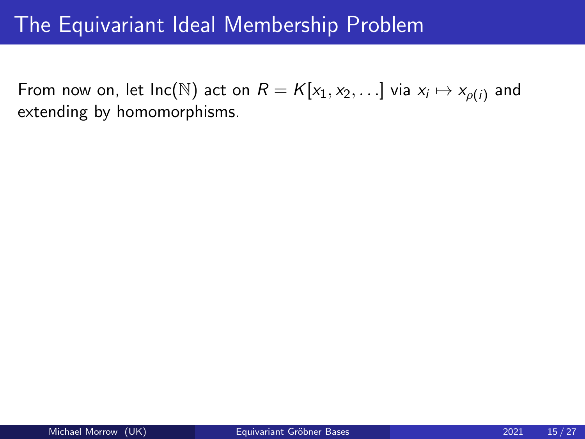From now on, let  $\mathsf{Inc}(\mathbb{N})$  act on  $R = K[x_1, x_2, \ldots]$  via  $x_i \mapsto x_{\rho(i)}$  and extending by homomorphisms.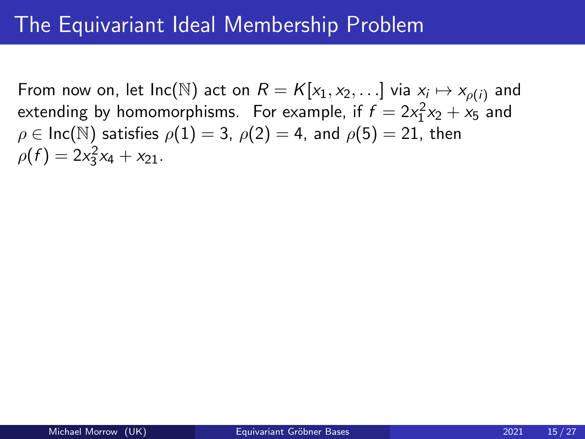From now on, let  $\mathsf{Inc}(\mathbb{N})$  act on  $R = K[x_1, x_2, \ldots]$  via  $x_i \mapsto x_{\rho(i)}$  and extending by homomorphisms. For example, if  $f = 2x_1^2x_2 + x_5$  and  $\rho \in \text{Inc}(\mathbb{N})$  satisfies  $\rho(1) = 3$ ,  $\rho(2) = 4$ , and  $\rho(5) = 21$ , then  $\rho(f) = 2x_3^2x_4 + x_{21}.$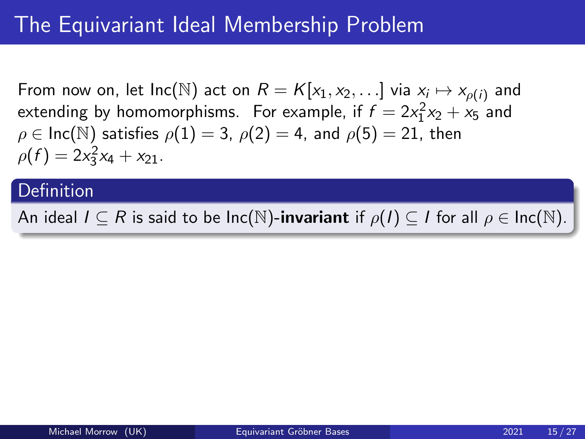From now on, let  $\mathsf{Inc}(\mathbb{N})$  act on  $R = K[x_1, x_2, \ldots]$  via  $x_i \mapsto x_{\rho(i)}$  and extending by homomorphisms. For example, if  $f = 2x_1^2x_2 + x_5$  and  $\rho \in \text{Inc}(\mathbb{N})$  satisfies  $\rho(1) = 3$ ,  $\rho(2) = 4$ , and  $\rho(5) = 21$ , then  $\rho(f) = 2x_3^2x_4 + x_{21}.$ 

### Definition

An ideal  $I \subseteq R$  is said to be  $Inc(\mathbb{N})$ -invariant if  $\rho(I) \subseteq I$  for all  $\rho \in Inc(\mathbb{N})$ .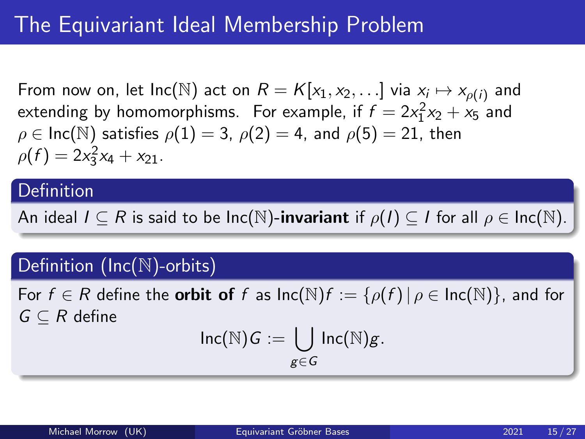From now on, let  $\mathsf{Inc}(\mathbb{N})$  act on  $R = K[x_1, x_2, \ldots]$  via  $x_i \mapsto x_{\rho(i)}$  and extending by homomorphisms. For example, if  $f = 2x_1^2x_2 + x_5$  and  $\rho \in \text{Inc}(\mathbb{N})$  satisfies  $\rho(1) = 3$ ,  $\rho(2) = 4$ , and  $\rho(5) = 21$ , then  $\rho(f) = 2x_3^2x_4 + x_{21}.$ 

### **Definition**

An ideal  $I \subseteq R$  is said to be  $Inc(\mathbb{N})$ -invariant if  $\rho(I) \subseteq I$  for all  $\rho \in Inc(\mathbb{N})$ .

## Definition (Inc(N)-orbits)

For  $f \in R$  define the **orbit of** f as  $\text{Inc}(\mathbb{N})f := \{ \rho(f) | \rho \in \text{Inc}(\mathbb{N}) \}$ , and for  $G \subseteq R$  define

$$
\mathsf{Inc}(\mathbb{N})G := \bigcup_{g \in G} \mathsf{Inc}(\mathbb{N})g.
$$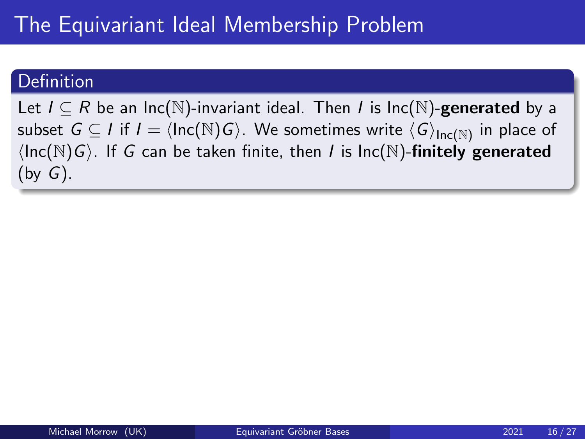Let  $I \subseteq R$  be an Inc(N)-invariant ideal. Then *I* is Inc(N)-**generated** by a subset  $G \subseteq I$  if  $I = \langle \mathsf{Inc}(\mathbb{N})G \rangle$ . We sometimes write  $\langle G \rangle_{\mathsf{Inc}(\mathbb{N})}$  in place of  $\langle Inc(N)G \rangle$ . If G can be taken finite, then I is Inc(N)-finitely generated  $(by G).$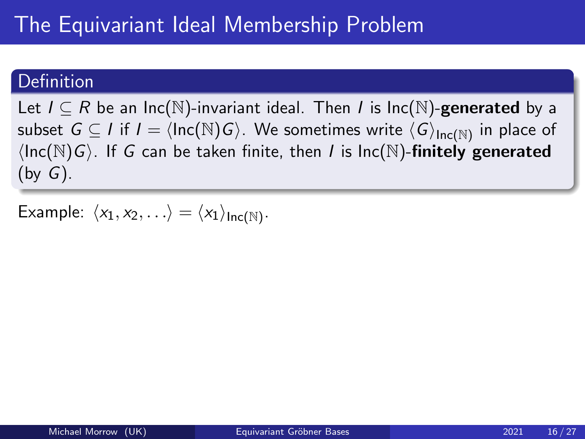Let  $I \subseteq R$  be an Inc(N)-invariant ideal. Then I is Inc(N)-generated by a subset  $G \subseteq I$  if  $I = \langle \mathsf{Inc}(\mathbb{N})G \rangle$ . We sometimes write  $\langle G \rangle_{\mathsf{Inc}(\mathbb{N})}$  in place of  $\langle Inc(N)G \rangle$ . If G can be taken finite, then I is Inc(N)-finitely generated  $(by G).$ 

Example:  $\langle x_1, x_2, \ldots \rangle = \langle x_1 \rangle_{\mathsf{Inc}(\mathbb{N})}$ .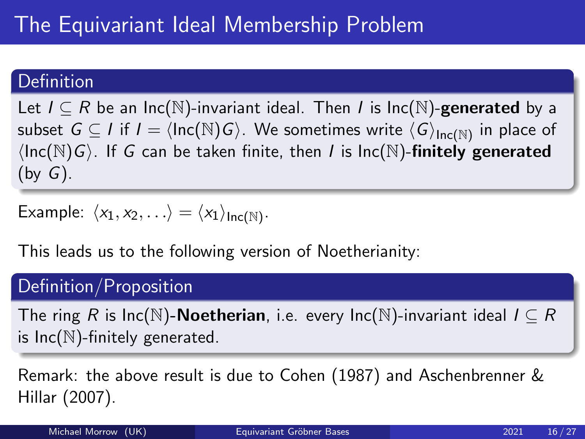Let  $I \subseteq R$  be an Inc(N)-invariant ideal. Then I is Inc(N)-generated by a subset  $G \subseteq I$  if  $I = \langle \mathsf{Inc}(\mathbb{N})G \rangle$ . We sometimes write  $\langle G \rangle_{\mathsf{Inc}(\mathbb{N})}$  in place of  $\langle Inc(N)G \rangle$ . If G can be taken finite, then I is Inc(N)-finitely generated  $(by G).$ 

Example: 
$$
\langle x_1, x_2, \ldots \rangle = \langle x_1 \rangle_{\text{Inc}(\mathbb{N})}
$$
.

This leads us to the following version of Noetherianity:

## Definition/Proposition

The ring R is Inc(N)-**Noetherian**, i.e. every Inc(N)-invariant ideal  $I \subseteq R$ is  $Inc(N)$ -finitely generated.

Remark: the above result is due to Cohen (1987) and Aschenbrenner & Hillar (2007).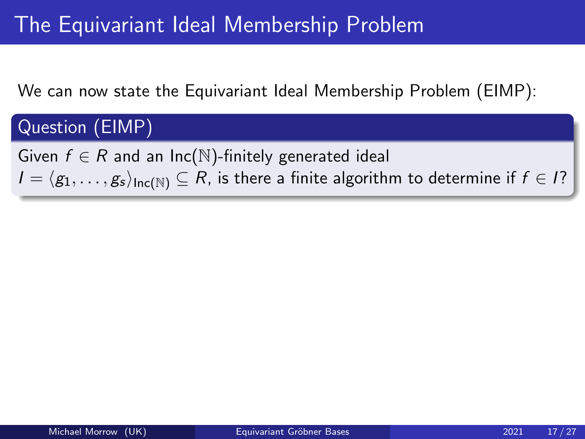We can now state the Equivariant Ideal Membership Problem (EIMP):

# Question (EIMP)

Given  $f \in R$  and an Inc(N)-finitely generated ideal  $I = \langle g_1, \ldots, g_s \rangle_{\text{Inc}(N)} \subseteq R$ , is there a finite algorithm to determine if  $f \in I$ ?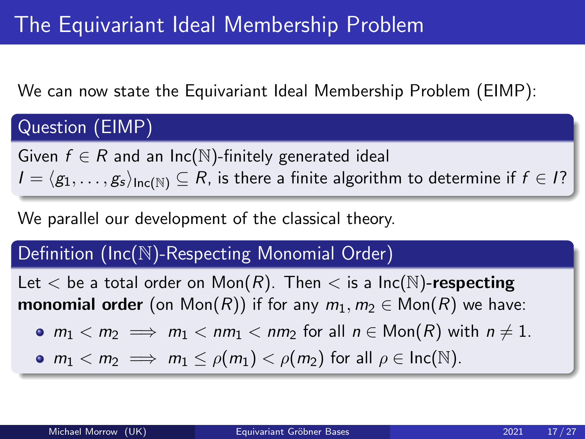We can now state the Equivariant Ideal Membership Problem (EIMP):

# Question (EIMP)

Given  $f \in R$  and an Inc(N)-finitely generated ideal  $I = \langle g_1, \ldots, g_s \rangle_{\text{Inc}(N)} \subseteq R$ , is there a finite algorithm to determine if  $f \in I$ ?

We parallel our development of the classical theory.

## Definition (Inc(N)-Respecting Monomial Order)

Let  $<$  be a total order on Mon(R). Then  $<$  is a Inc(N)-respecting **monomial order** (on Mon(R)) if for any  $m_1, m_2 \in \text{Mon}(R)$  we have:

$$
\bullet \ \ m_1 < m_2 \implies m_1 < nm_1 < nm_2 \ \text{for all} \ \ n \in \text{Mon}(R) \ \text{with} \ \ n \neq 1.
$$

•  $m_1 < m_2 \implies m_1 \leq \rho(m_1) < \rho(m_2)$  for all  $\rho \in \text{Inc}(\mathbb{N})$ .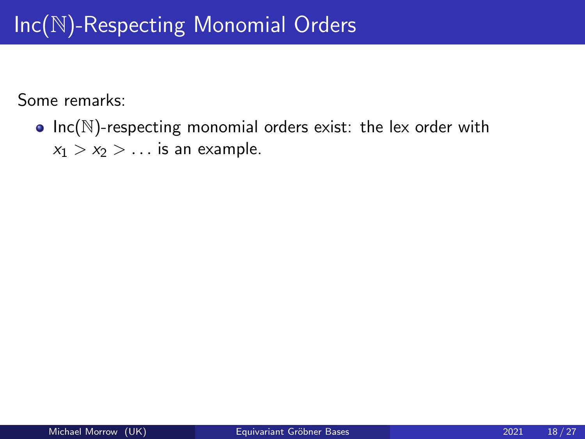•  $Inc(N)$ -respecting monomial orders exist: the lex order with  $x_1 > x_2 > \ldots$  is an example.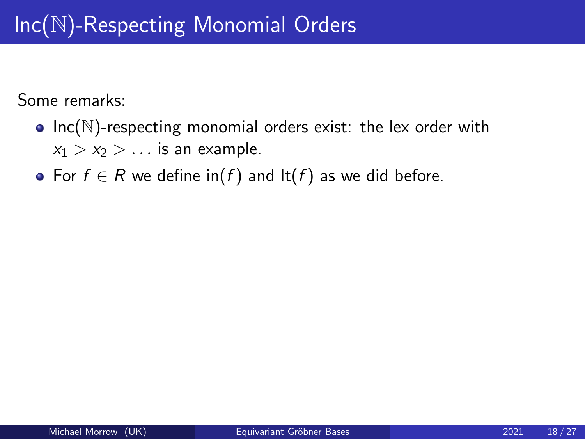- $Inc(N)$ -respecting monomial orders exist: the lex order with  $x_1 > x_2 > \ldots$  is an example.
- For  $f \in R$  we define  $\text{in}(f)$  and  $\text{lt}(f)$  as we did before.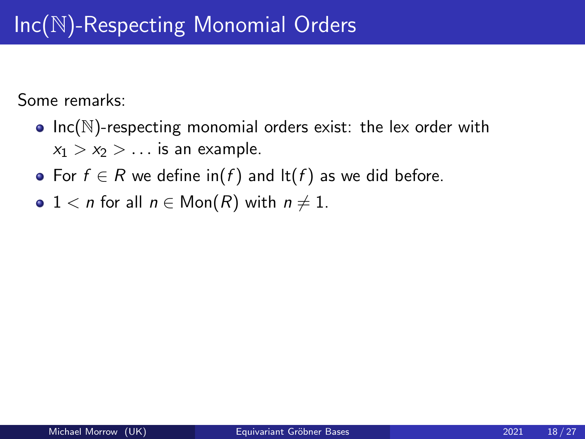- Inc( $N$ )-respecting monomial orders exist: the lex order with  $x_1 > x_2 > \ldots$  is an example.
- For  $f \in R$  we define  $\text{in}(f)$  and  $\text{lt}(f)$  as we did before.
- $1 < n$  for all  $n \in \text{Mon}(R)$  with  $n \neq 1$ .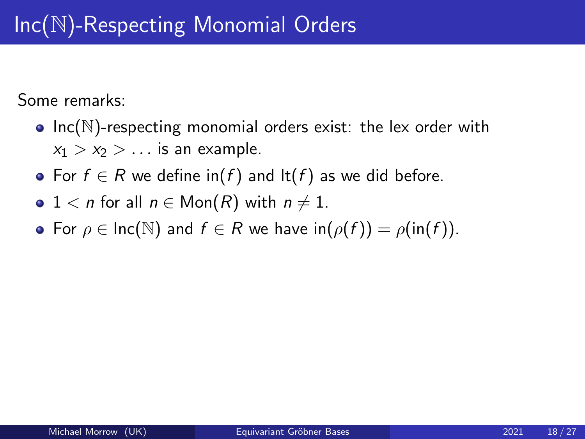- Inc( $N$ )-respecting monomial orders exist: the lex order with  $x_1 > x_2 > \ldots$  is an example.
- For  $f \in R$  we define  $\text{in}(f)$  and  $\text{lt}(f)$  as we did before.
- $1 < n$  for all  $n \in \text{Mon}(R)$  with  $n \neq 1$ .
- For  $\rho \in \text{Inc}(\mathbb{N})$  and  $f \in \mathbb{R}$  we have  $\text{in}(\rho(f)) = \rho(\text{in}(f)).$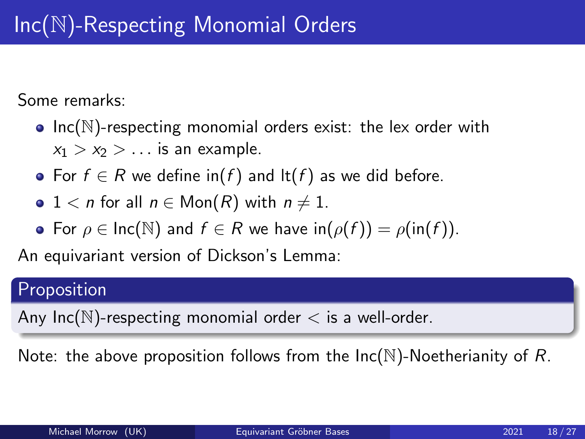- Inc( $N$ )-respecting monomial orders exist: the lex order with  $x_1 > x_2 > \ldots$  is an example.
- For  $f \in R$  we define  $\text{in}(f)$  and  $\text{lt}(f)$  as we did before.
- $1 < n$  for all  $n \in \text{Mon}(R)$  with  $n \neq 1$ .
- For  $\rho \in \text{Inc}(\mathbb{N})$  and  $f \in \mathbb{R}$  we have  $\text{in}(\rho(f)) = \rho(\text{in}(f)).$

An equivariant version of Dickson's Lemma:

## Proposition

Any Inc( $\mathbb N$ )-respecting monomial order  $\lt$  is a well-order.

Note: the above proposition follows from the  $Inc(\mathbb{N})$ -Noetherianity of R.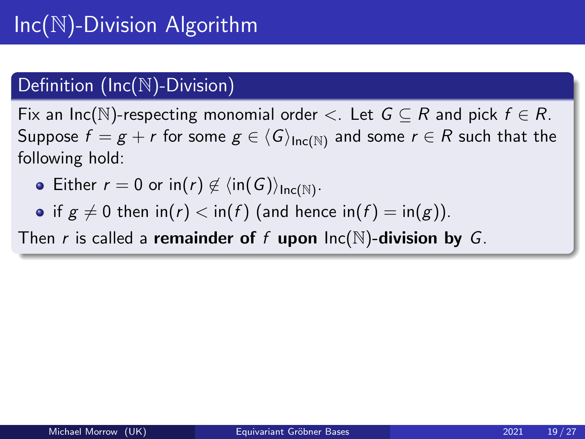## Definition (Inc(N)-Division)

Fix an Inc(N)-respecting monomial order  $\lt$ . Let  $G \subseteq R$  and pick  $f \in R$ . Suppose  $f = g + r$  for some  $g \in \langle G \rangle_{\text{Inc}(N)}$  and some  $r \in R$  such that the following hold:

- Either  $r = 0$  or  $\mathsf{in}(r) \not\in \langle \mathsf{in}(G) \rangle_{\mathsf{Inc}(\mathbb{N})}$ .
- if  $g \neq 0$  then in(r)  $\lt$  in(f) (and hence in(f) = in(g)).

Then r is called a remainder of f upon  $Inc(N)$ -division by G.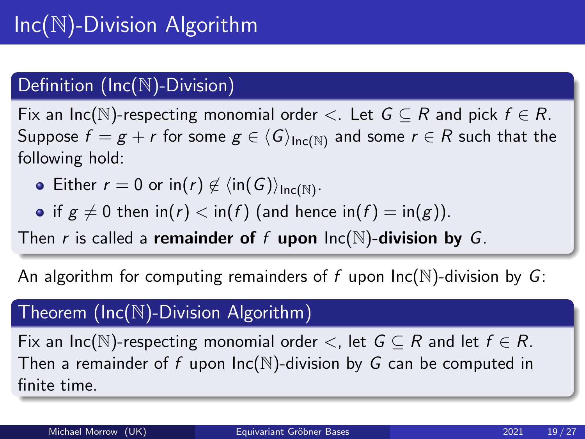## Definition (Inc(N)-Division)

Fix an Inc(N)-respecting monomial order  $\lt$ . Let  $G \subseteq R$  and pick  $f \in R$ . Suppose  $f = g + r$  for some  $g \in \langle G \rangle_{\text{Inc}(N)}$  and some  $r \in R$  such that the following hold:

- Either  $r = 0$  or  $\mathsf{in}(r) \not\in \langle \mathsf{in}(G) \rangle_{\mathsf{Inc}(\mathbb{N})}$ .
- if  $g \neq 0$  then  $\text{in}(r) < \text{in}(f)$  (and hence  $\text{in}(f) = \text{in}(g)$ ).

Then r is called a remainder of f upon  $\text{Inc}(\mathbb{N})$ -division by G.

An algorithm for computing remainders of f upon  $Inc(N)$ -division by G:

## Theorem (Inc(N)-Division Algorithm)

Fix an Inc(N)-respecting monomial order  $\lt$ , let  $G \subseteq R$  and let  $f \in R$ . Then a remainder of f upon  $Inc(N)$ -division by G can be computed in finite time.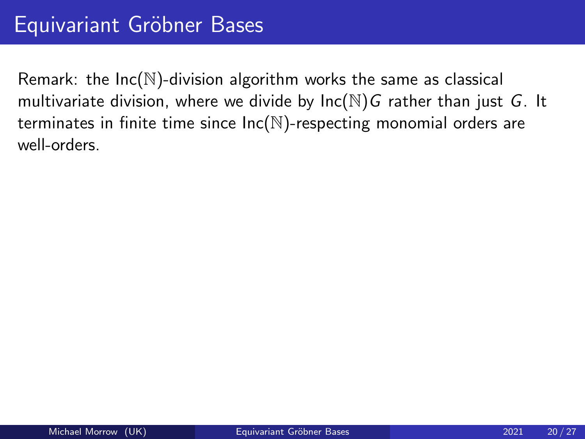Remark: the  $Inc(N)$ -division algorithm works the same as classical multivariate division, where we divide by  $Inc(N)G$  rather than just  $G$ . It terminates in finite time since  $Inc(N)$ -respecting monomial orders are well-orders.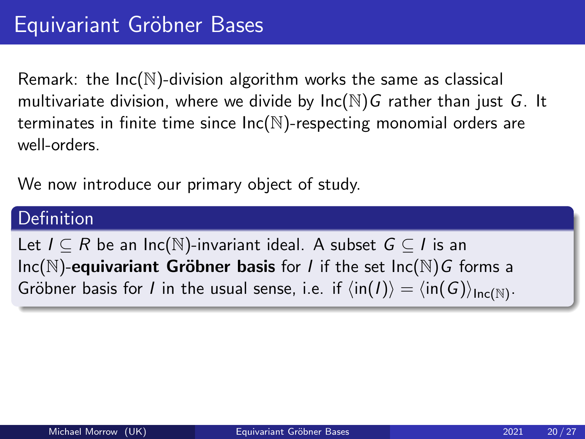Remark: the  $Inc(N)$ -division algorithm works the same as classical multivariate division, where we divide by  $Inc(N)G$  rather than just  $G$ . It terminates in finite time since  $Inc(N)$ -respecting monomial orders are well-orders.

We now introduce our primary object of study.

### **Definition**

Let  $I \subseteq R$  be an Inc(N)-invariant ideal. A subset  $G \subseteq I$  is an  $Inc(N)$ -equivariant Gröbner basis for *I* if the set  $Inc(N)G$  forms a Gröbner basis for  $I$  in the usual sense, i.e. if  $\langle \mathsf{in}(I) \rangle = \langle \mathsf{in}(G) \rangle_{\mathsf{Inc}(\mathbb{N})}.$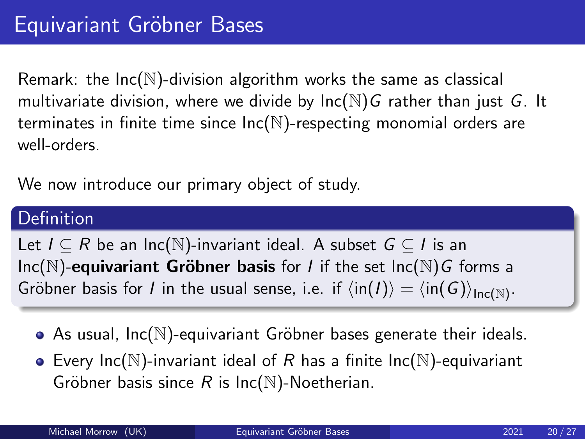Remark: the  $Inc(N)$ -division algorithm works the same as classical multivariate division, where we divide by  $Inc(N)G$  rather than just  $G$ . It terminates in finite time since  $Inc(N)$ -respecting monomial orders are well-orders.

We now introduce our primary object of study.

### **Definition**

Let  $I \subseteq R$  be an Inc(N)-invariant ideal. A subset  $G \subseteq I$  is an  $Inc(N)$ -equivariant Gröbner basis for *I* if the set  $Inc(N)G$  forms a Gröbner basis for  $I$  in the usual sense, i.e. if  $\langle \mathsf{in}(I) \rangle = \langle \mathsf{in}(G) \rangle_{\mathsf{Inc}(\mathbb{N})}.$ 

- As usual,  $Inc(N)$ -equivariant Gröbner bases generate their ideals.
- Every Inc( $\mathbb N$ )-invariant ideal of R has a finite Inc( $\mathbb N$ )-equivariant Gröbner basis since R is  $Inc(N)$ -Noetherian.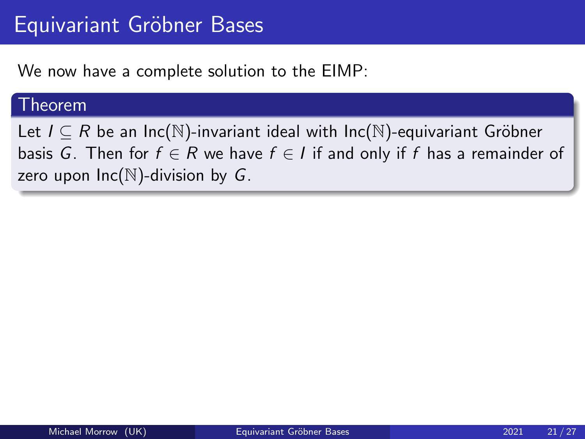We now have a complete solution to the EIMP:

#### Theorem

Let  $I \subseteq R$  be an Inc( $\mathbb{N}$ )-invariant ideal with Inc( $\mathbb{N}$ )-equivariant Gröbner basis G. Then for  $f \in R$  we have  $f \in I$  if and only if f has a remainder of zero upon  $Inc(N)$ -division by G.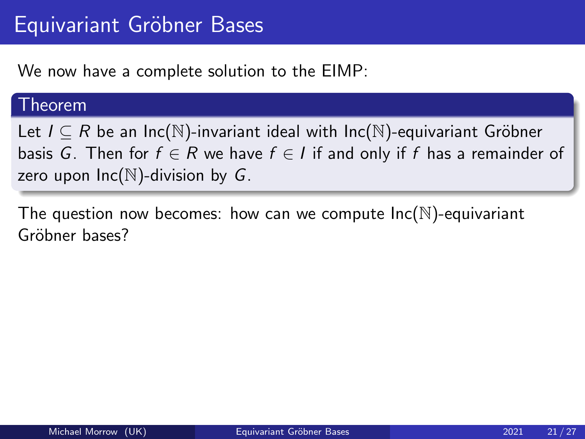We now have a complete solution to the EIMP:

#### Theorem

Let  $I \subseteq R$  be an Inc( $\mathbb{N}$ )-invariant ideal with Inc( $\mathbb{N}$ )-equivariant Gröbner basis G. Then for  $f \in R$  we have  $f \in I$  if and only if f has a remainder of zero upon  $Inc(N)$ -division by G.

The question now becomes: how can we compute  $Inc(N)$ -equivariant Gröhner hases?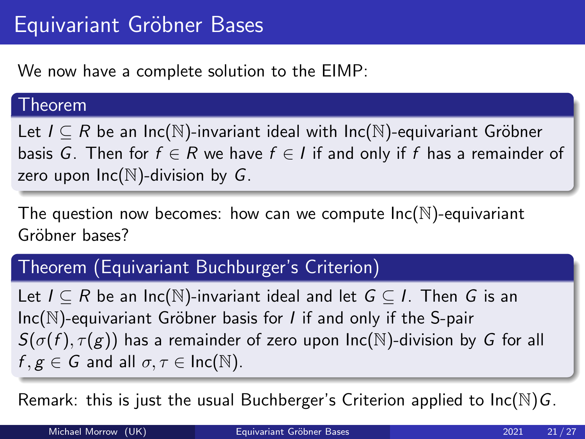We now have a complete solution to the EIMP:

#### Theorem

Let  $I \subseteq R$  be an Inc( $\mathbb{N}$ )-invariant ideal with Inc( $\mathbb{N}$ )-equivariant Gröbner basis G. Then for  $f \in R$  we have  $f \in I$  if and only if f has a remainder of zero upon  $Inc(N)$ -division by G.

The question now becomes: how can we compute  $Inc(N)$ -equivariant Gröhner bases?

## Theorem (Equivariant Buchburger's Criterion)

Let  $I \subseteq R$  be an Inc( $\mathbb N$ )-invariant ideal and let  $G \subseteq I$ . Then G is an  $Inc(N)$ -equivariant Gröbner basis for *I* if and only if the S-pair  $S(\sigma(f), \tau(g))$  has a remainder of zero upon  $\text{Inc}(\mathbb{N})$ -division by G for all  $f, g \in G$  and all  $\sigma, \tau \in Inc(N)$ .

Remark: this is just the usual Buchberger's Criterion applied to  $\text{Inc}(\mathbb{N})$  G.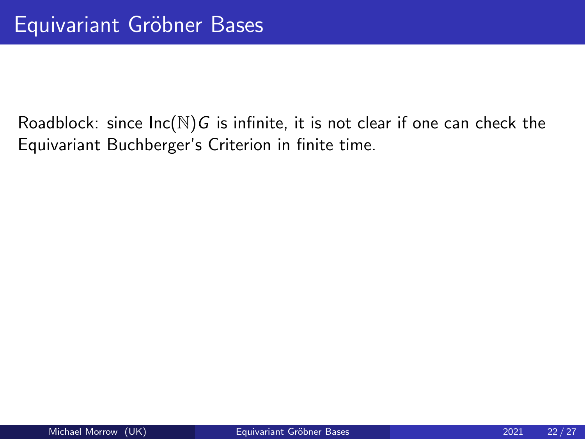Roadblock: since  $Inc(N)G$  is infinite, it is not clear if one can check the Equivariant Buchberger's Criterion in finite time.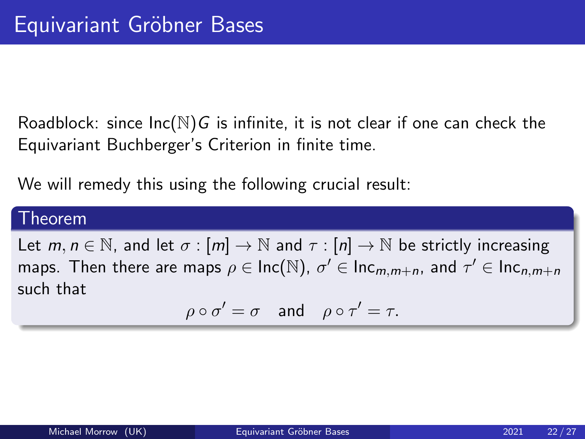Roadblock: since  $Inc(N)$ G is infinite, it is not clear if one can check the Equivariant Buchberger's Criterion in finite time.

We will remedy this using the following crucial result:

#### Theorem

Let  $m, n \in \mathbb{N}$ , and let  $\sigma : [m] \to \mathbb{N}$  and  $\tau : [n] \to \mathbb{N}$  be strictly increasing maps. Then there are maps  $\rho \in {\sf Inc}({\mathbb N}),\ \sigma' \in {\sf Inc}_{m,m+n}$ , and  $\tau' \in {\sf Inc}_{n,m+n}$ such that

$$
\rho \circ \sigma' = \sigma \quad \text{and} \quad \rho \circ \tau' = \tau.
$$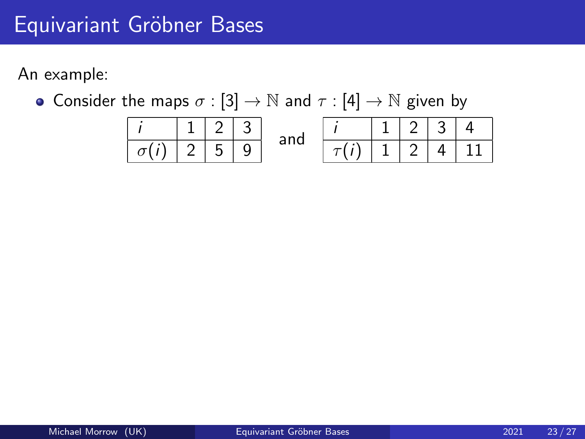# Equivariant Gröbner Bases

An example:

• Consider the maps  $\sigma : [3] \to \mathbb{N}$  and  $\tau : [4] \to \mathbb{N}$  given by

$$
\begin{array}{|c|c|c|c|c|c|c|c|c|c|} \hline i & 1 & 2 & 3 \\ \hline \hline \sigma(i) & 2 & 5 & 9 \end{array} \text{ and } \begin{array}{|c|c|c|c|c|c|c|c|} \hline i & 1 & 2 & 3 & 4 \\ \hline \tau(i) & 1 & 2 & 4 & 11 \end{array}
$$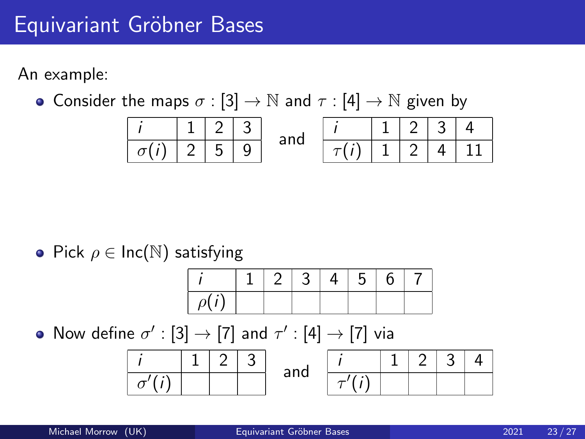An example:

• Consider the maps  $\sigma : [3] \to \mathbb{N}$  and  $\tau : [4] \to \mathbb{N}$  given by

| $i$         | $1$ | $2$ | $3$ |
|-------------|-----|-----|-----|
| $\sigma(i)$ | $2$ | $5$ | $9$ |

\nand

\n

| $i$         | $1$ | $2$ | $3$ | $4$ |
|-------------|-----|-----|-----|-----|
| $\sigma(i)$ | $2$ | $5$ | $9$ |     |

• Pick  $\rho \in \text{Inc}(\mathbb{N})$  satisfying

|  |  | 4. | $\sim$ . $\sim$ |  |
|--|--|----|-----------------|--|
|  |  |    |                 |  |

Now define  $\sigma' : [3] \rightarrow [7]$  and  $\tau' : [4] \rightarrow [7]$  via

|   |  | nnd |  |  |  |
|---|--|-----|--|--|--|
| ີ |  | .   |  |  |  |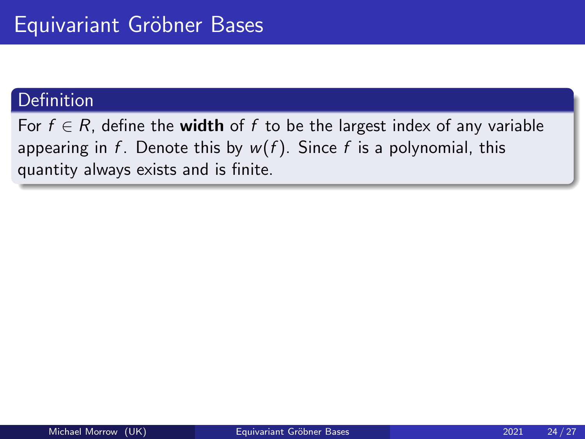For  $f \in R$ , define the **width** of f to be the largest index of any variable appearing in f. Denote this by  $w(f)$ . Since f is a polynomial, this quantity always exists and is finite.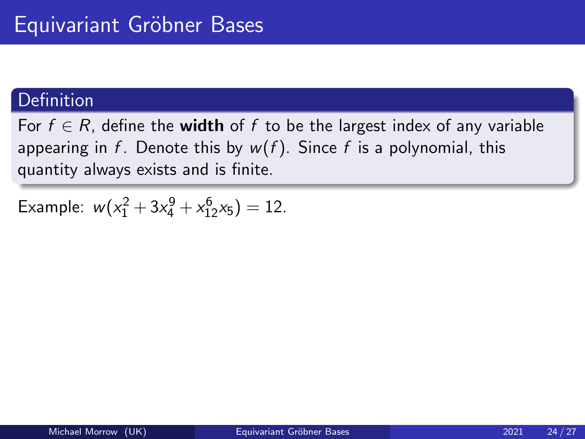For  $f \in R$ , define the **width** of f to be the largest index of any variable appearing in f. Denote this by  $w(f)$ . Since f is a polynomial, this quantity always exists and is finite.

Example:  $w(x_1^2 + 3x_4^9 + x_{12}^6x_5) = 12$ .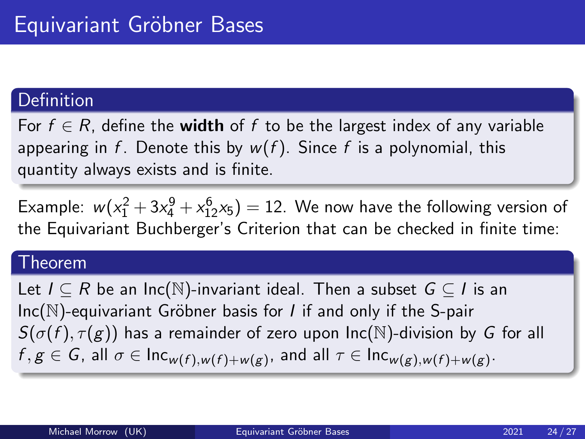For  $f \in R$ , define the **width** of f to be the largest index of any variable appearing in f. Denote this by  $w(f)$ . Since f is a polynomial, this quantity always exists and is finite.

Example:  $w(x_1^2 + 3x_4^9 + x_{12}^6x_5) = 12$ . We now have the following version of the Equivariant Buchberger's Criterion that can be checked in finite time:

#### Theorem

Let  $I \subseteq R$  be an Inc(N)-invariant ideal. Then a subset  $G \subseteq I$  is an  $Inc(N)$ -equivariant Gröbner basis for *I* if and only if the S-pair  $S(\sigma(f), \tau(g))$  has a remainder of zero upon Inc(N)-division by G for all  $f, g \in G$ , all  $\sigma \in \text{Inc}_{w(f),w(f)+w(g)}$ , and all  $\tau \in \text{Inc}_{w(g),w(f)+w(g)}$ .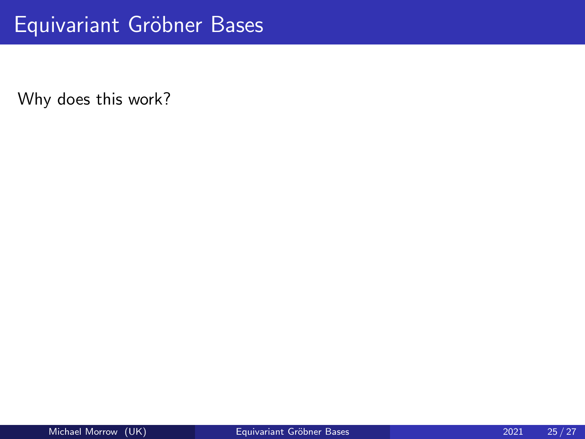Why does this work?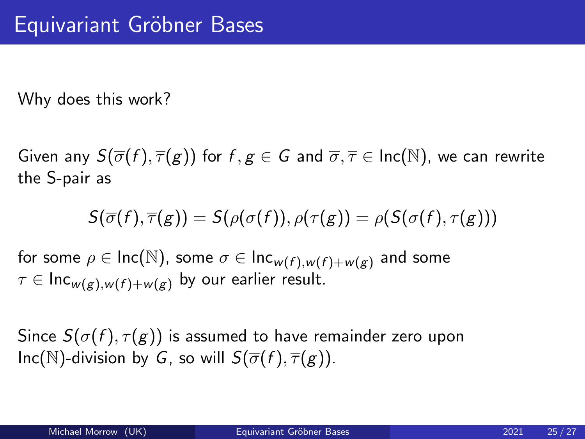Why does this work?

Given any  $S(\overline{\sigma}(f), \overline{\tau}(g))$  for  $f, g \in G$  and  $\overline{\sigma}, \overline{\tau} \in \text{Inc}(\mathbb{N})$ , we can rewrite the S-pair as

$$
S(\overline{\sigma}(f),\overline{\tau}(g))=S(\rho(\sigma(f)),\rho(\tau(g))=\rho(S(\sigma(f),\tau(g)))
$$

for some  $\rho \in \text{Inc}(\mathbb{N})$ , some  $\sigma \in \text{Inc}_{w(f),w(f)+w(g)}$  and some  $\tau \in \text{Inc}_{w(\epsilon),w(f)+w(\epsilon)}$  by our earlier result.

Since  $S(\sigma(f), \tau(g))$  is assumed to have remainder zero upon Inc(N)-division by G, so will  $S(\overline{\sigma}(f), \overline{\tau}(g))$ .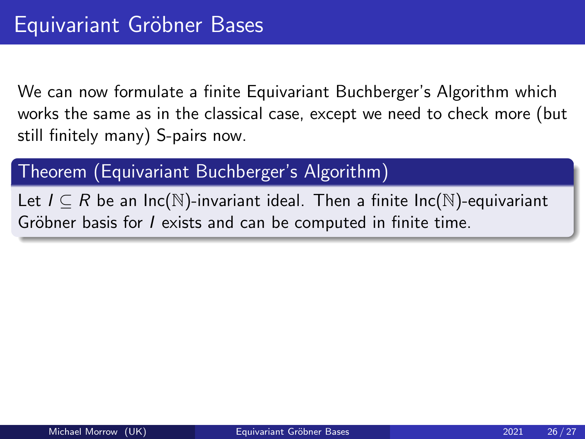We can now formulate a finite Equivariant Buchberger's Algorithm which works the same as in the classical case, except we need to check more (but still finitely many) S-pairs now.

Theorem (Equivariant Buchberger's Algorithm)

Let  $I \subseteq R$  be an Inc(N)-invariant ideal. Then a finite Inc(N)-equivariant Gröbner basis for *I* exists and can be computed in finite time.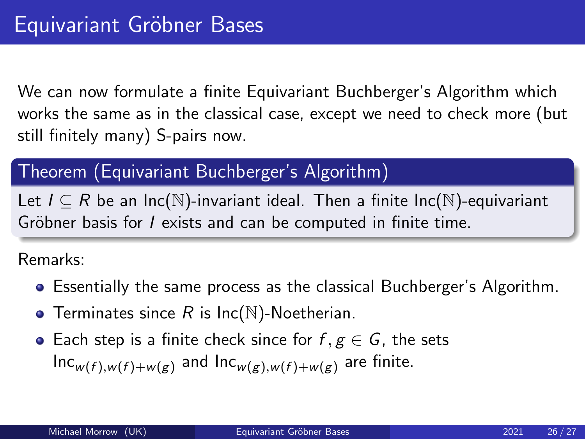We can now formulate a finite Equivariant Buchberger's Algorithm which works the same as in the classical case, except we need to check more (but still finitely many) S-pairs now.

## Theorem (Equivariant Buchberger's Algorithm)

Let  $I \subseteq R$  be an Inc(N)-invariant ideal. Then a finite Inc(N)-equivariant Gröbner basis for *I* exists and can be computed in finite time.

Remarks:

- Essentially the same process as the classical Buchberger's Algorithm.
- **•** Terminates since  $R$  is  $Inc(N)$ -Noetherian.
- Each step is a finite check since for  $f, g \in G$ , the sets  $Inc_{w(f),w(f)+w(g)}$  and  $Inc_{w(g),w(f)+w(g)}$  are finite.